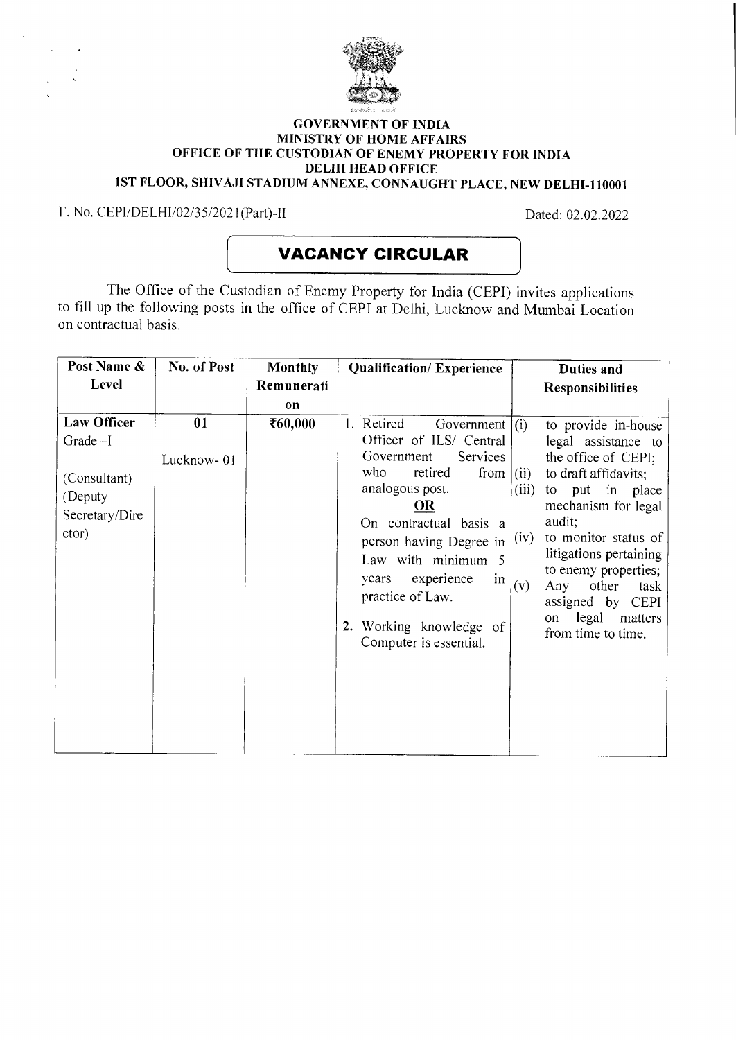

#### GOVERNMENT OF INDIA MINISTRY OF HOME AFFAIRS OFFICE OF THE CUSTODIAN OF ENEMY PROPERTY FOR INDIA DELHI HEAD OFFICE

1ST FLOOR, SHIVAJI STADIUM ANNEXE, CONNAUGHT PLACE, NEW DELHI-110001

F. No. CEPI/DELHI/02/35/2021(Part)-II Dated: 02.02.2022

# **VACANCY CIRCULAR**

The Office of the Custodian of Enemy Property for India (CEPI) invites applications to fill up the following posts in the office of CEPI at Delhi, Lucknow and Mumbai Location on contractual basis.

| Post Name &                                                                           | No. of Post      | Monthly    | <b>Qualification/Experience</b>                                                                                                                                                                                                                                                                                     | Duties and                                                                                                                                                                                                                                                                                                                                                                       |  |
|---------------------------------------------------------------------------------------|------------------|------------|---------------------------------------------------------------------------------------------------------------------------------------------------------------------------------------------------------------------------------------------------------------------------------------------------------------------|----------------------------------------------------------------------------------------------------------------------------------------------------------------------------------------------------------------------------------------------------------------------------------------------------------------------------------------------------------------------------------|--|
| Level                                                                                 |                  | Remunerati |                                                                                                                                                                                                                                                                                                                     | <b>Responsibilities</b>                                                                                                                                                                                                                                                                                                                                                          |  |
|                                                                                       |                  | on         |                                                                                                                                                                                                                                                                                                                     |                                                                                                                                                                                                                                                                                                                                                                                  |  |
| <b>Law Officer</b><br>Grade -I<br>(Consultant)<br>(Deputy)<br>Secretary/Dire<br>ctor) | 01<br>Lucknow-01 | ₹60,000    | 1. Retired<br>Government  <br>Officer of ILS/ Central<br>Government<br>Services<br>who<br>retired<br>from<br>analogous post.<br>OR<br>On contractual basis a<br>person having Degree in<br>Law with minimum 5<br>experience<br>years<br>in<br>practice of Law.<br>2. Working knowledge of<br>Computer is essential. | (i)<br>to provide in-house<br>$\text{legal}$ assistance to<br>the office of CEPI;<br>to draft affidavits;<br>(ii)<br>(iii)<br>put in place<br>to<br>mechanism for legal<br>audit;<br>to monitor status of<br>(iv)<br>litigations pertaining<br>to enemy properties;<br>(v)<br>other<br>Any<br>task<br>assigned by<br><b>CEPI</b><br>legal<br>matters<br>on<br>from time to time. |  |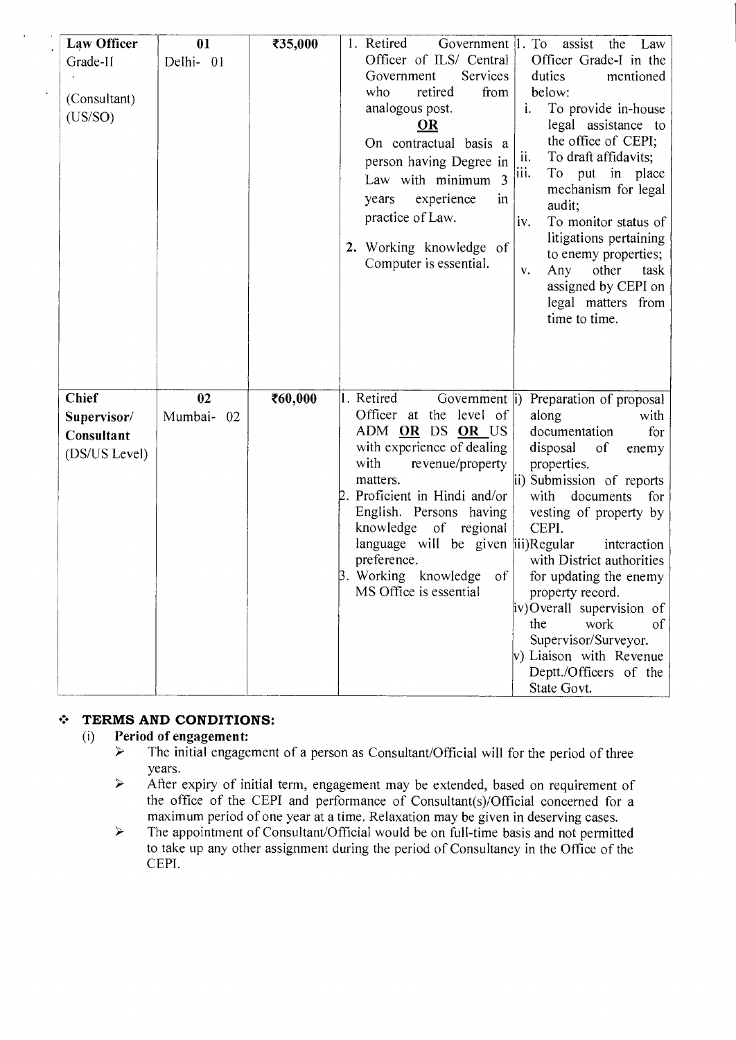| Law Officer                                                | 01                  | ₹35,000 | 1. Retired<br>Government 1. To                                                                                                                                                                                                                                                                                                                        |                                                                                                                                                                                                                                                                                                                                                                                                                                                                    |
|------------------------------------------------------------|---------------------|---------|-------------------------------------------------------------------------------------------------------------------------------------------------------------------------------------------------------------------------------------------------------------------------------------------------------------------------------------------------------|--------------------------------------------------------------------------------------------------------------------------------------------------------------------------------------------------------------------------------------------------------------------------------------------------------------------------------------------------------------------------------------------------------------------------------------------------------------------|
| Grade-II<br>(Consultant)<br>(US/SO)                        | Delhi- 01           |         | Officer of ILS/ Central<br>Services<br>Government<br>retired<br>who<br>from<br>analogous post.<br><b>OR</b><br>On contractual basis a<br>person having Degree in<br>Law with minimum 3<br>experience<br>years<br>in<br>practice of Law.<br>2. Working knowledge of<br>Computer is essential.                                                          | assist<br>the<br>Law<br>Officer Grade-I in the<br>mentioned<br>duties<br>below:<br>i.<br>To provide in-house<br>legal assistance to<br>the office of CEPI;<br>To draft affidavits;<br>11.<br>To put in place<br>111.<br>mechanism for legal<br>audit;<br>To monitor status of<br>iv.<br>litigations pertaining<br>to enemy properties;<br>Any<br>other<br>task<br>V.<br>assigned by CEPI on<br>legal matters from<br>time to time.                                 |
| <b>Chief</b><br>Supervisor/<br>Consultant<br>(DS/US Level) | 02<br>Mumbai-<br>02 | ₹60,000 | 1. Retired<br>Government  i)<br>Officer at the level of<br>ADM OR DS OR US<br>with experience of dealing<br>with<br>revenue/property<br>matters.<br>2. Proficient in Hindi and/or<br>English. Persons having<br>knowledge<br>of regional<br>language will be given iii)Regular<br>preference.<br>3. Working knowledge<br>of<br>MS Office is essential | Preparation of proposal<br>along<br>with<br>documentation<br>for<br>disposal<br>of<br>enemy<br>properties.<br>ii) Submission of reports<br>with<br>documents<br>for<br>vesting of property by<br>CEPI.<br>interaction<br>with District authorities<br>for updating the enemy<br>property record.<br>iv)Overall supervision of<br>the<br>work<br><sub>of</sub><br>Supervisor/Surveyor.<br>$ v\rangle$ Liaison with Revenue<br>Deptt./Officers of the<br>State Govt. |

### ❖ **TERMS AND CONDITIONS:**

# (i) Period of engagement:<br>  $\triangleright$  The initial engage

- The initial engagement of a person as Consultant/Official will for the period of three years.
- ➢ After expiry of initial term, engagement may be extended, based on requirement of the office of the CEPI and performance of Consultant(s)/Official concerned for a maximum period of one year at a time. Relaxation may be given in deserving cases.
- The appointment of Consultant/Official would be on full-time basis and not permitted  $\blacktriangleright$ to take up any other assignment during the period of Consultancy in the Office of the CEPI.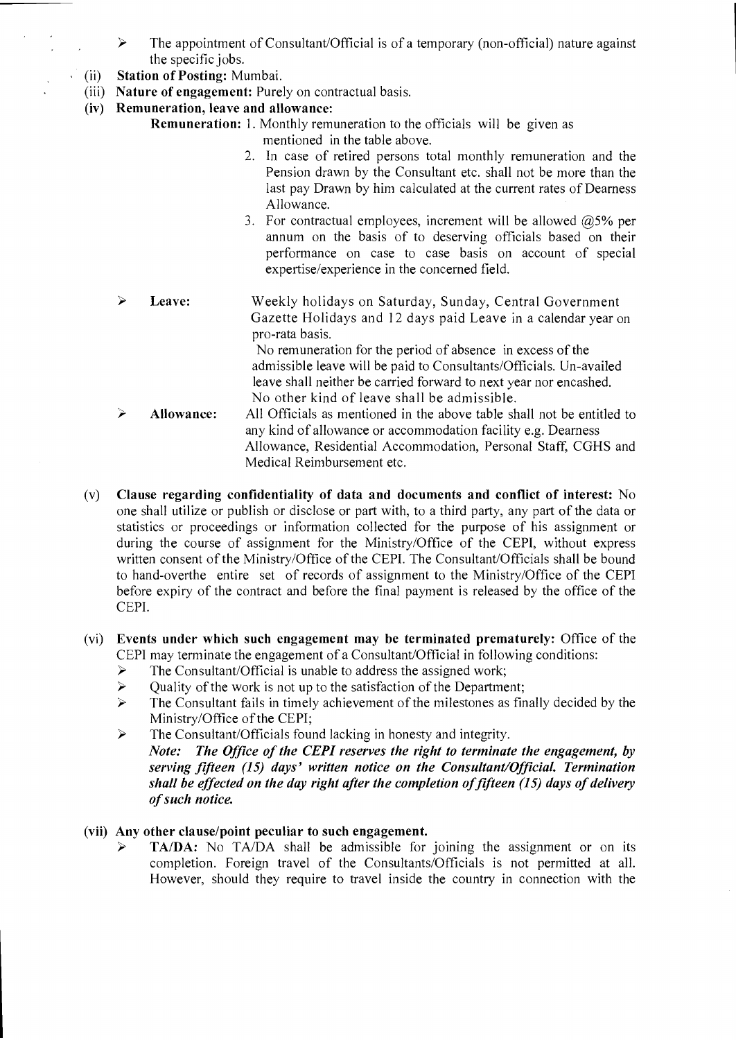- $\triangleright$  The appointment of Consultant/Official is of a temporary (non-official) nature against the specific jobs.
- (ii) Station of Posting: Mumbai.
- (iii) Nature of engagement: Purely on contractual basis.
- (iv) Remuneration, leave and allowance:
	- Remuneration: 1. Monthly remuneration to the officials will be given as mentioned in the table above.
		- 2. In case of retired persons total monthly remuneration and the Pension drawn by the Consultant etc. shall not be more than the last pay Drawn by him calculated at the current rates of Dearness Allowance.
		- 3. For contractual employees, increment will be allowed  $@5\%$  per annum on the basis of to deserving officials based on their performance on case to case basis on account of special expertise/experience in the concerned field.
	- ➢ Leave: Weekly holidays on Saturday, Sunday, Central Government Gazette Holidays and 12 days paid Leave in a calendar year on pro-rata basis. No remuneration for the period of absence in excess of the

admissible leave will be paid to Consultants/Officials. Un-availed leave shall neither be carried forward to next year nor encashed. No other kind of leave shall be admissible.

- ⋗ Allowance: All Officials as mentioned in the above table shall not be entitled to any kind of allowance or accommodation facility e.g. Dearness Allowance, Residential Accommodation, Personal Staff, CGHS and Medical Reimbursement etc.
- (v) Clause regarding confidentiality of data and documents and conflict of interest: No one shall utilize or publish or disclose or part with, to a third party, any part of the data or statistics or proceedings or information collected for the purpose of his assignment or during the course of assignment for the Ministry/Office of the CEPI, without express written consent of the Ministry/Office of the CEPI. The Consultant/Officials shall be bound to hand-overthe entire set of records of assignment to the Ministry/Office of the CEPI before expiry of the contract and before the final payment is released by the office of the CEPI.
- (vi) Events under which such engagement may be terminated prematurely: Office of the CEPI may terminate the engagement of a Consultant/Official in following conditions:
	- $\geq$  The Consultant/Official is unable to address the assigned work;<br> $\geq$  Ouality of the work is not up to the satisfaction of the Departme
	- Quality of the work is not up to the satisfaction of the Department;
	- $\triangleright$  The Consultant fails in timely achievement of the milestones as finally decided by the Ministry/Office of the CEPI;

 $\triangleright$  The Consultant/Officials found lacking in honesty and integrity. *Note: The Office of the CEPI reserves the right to terminate the engagement, by serving fifteen (15) days' written notice on the Consultant/Official. Termination shall be effected on the day right after the completion of fifteen (15) days of delivery of such notice.* 

- (vii) Any other clause/point peculiar to such engagement.
	- TA/DA: No TA/DA shall be admissible for joining the assignment or on its completion. Foreign travel of the Consultants/Officials is not permitted at all. However, should they require to travel inside the country in connection with the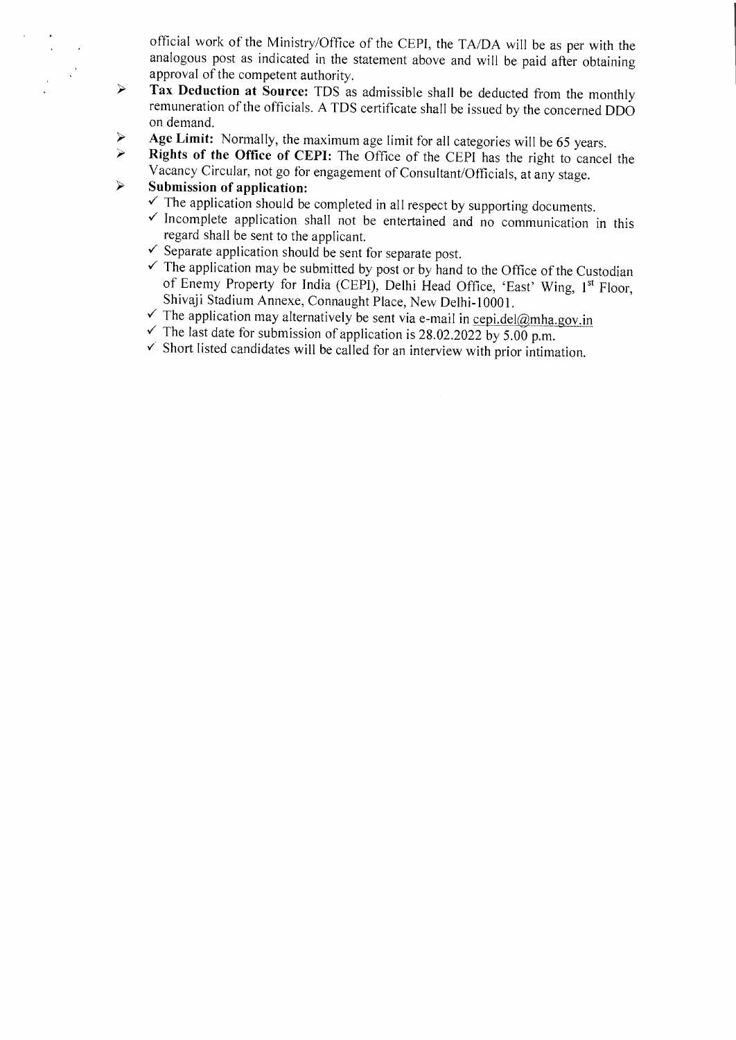official work of the Ministry/Office of the CEPI, the TA/DA will be as per with the analogous post as indicated in the statement above and will be paid after obtaining approval of the competent authority.

- ➢ Tax Deduction at Source: TDS as admissible shall be deducted from the monthly remuneration of the officials. A TDS certificate shall be issued by the concerned DDO on demand.
- Age Limit: Normally, the maximum age limit for all categories will be 65 years.<br>  $\triangleright$  Rights of the Office of CEPI: The Office of the CEPI has the right to same
	- Rights of the Office of CEPI: The Office of the CEPI has the right to cancel the Vacancy Circular, not go for engagement of Consultant/Officials, at any stage.
- $\triangleright$  Submission of application:
	- $\checkmark$  The application should be completed in all respect by supporting documents.
	- $\checkmark$  Incomplete application shall not be entertained and no communication in this regard shall be sent to the applicant.
	- $\checkmark$  Separate application should be sent for separate post.
	- $\checkmark$  The application may be submitted by post or by hand to the Office of the Custodian of Enemy Property for India (CEPI), Delhi Head Office, 'East' Wing, 1st Floor, Shivaji Stadium Annexe, Connaught Place, New Delhi-10001.
	- $\checkmark$  The application may alternatively be sent via e-mail in cepi.del@mha.gov.in
	- $\checkmark$  The last date for submission of application is 28.02.2022 by 5.00 p.m.
	- $\checkmark$  Short listed candidates will be called for an interview with prior intimation.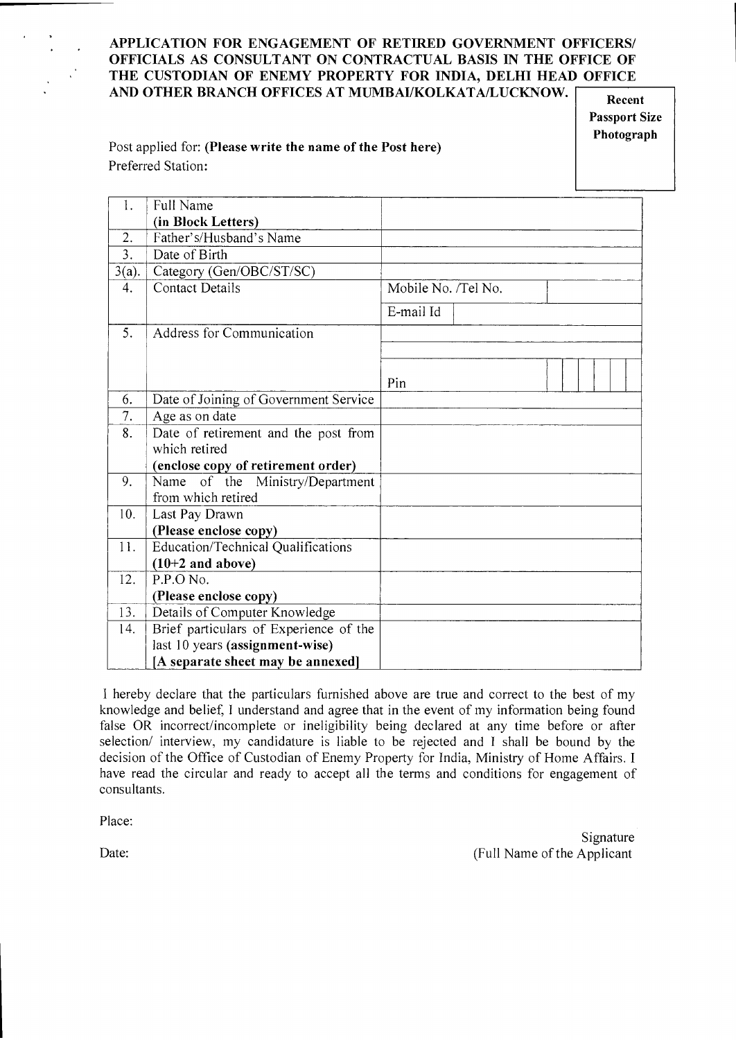### APPLICATION FOR ENGAGEMENT OF RETIRED GOVERNMENT OFFICERS/ OFFICIALS AS CONSULTANT ON CONTRACTUAL BASIS IN THE OFFICE OF THE CUSTODIAN OF ENEMY PROPERTY FOR INDIA, DELHI HEAD OFFICE AND OTHER BRANCH OFFICES AT MUMBAUKOLKATA/LUCKNOW.

Post applied for: (Please write the name of the Post here) Preferred Station:

Recent Passport Size Photograph

| 1.               | <b>Full Name</b>                       |                     |
|------------------|----------------------------------------|---------------------|
|                  | (in Block Letters)                     |                     |
| 2.               | Father's/Husband's Name                |                     |
| $\overline{3}$ . | Date of Birth                          |                     |
| $3(a)$ .         | Category (Gen/OBC/ST/SC)               |                     |
| 4.               | <b>Contact Details</b>                 | Mobile No. /Tel No. |
|                  |                                        | E-mail Id           |
| 5.               | Address for Communication              |                     |
|                  |                                        |                     |
|                  |                                        |                     |
|                  |                                        | Pin                 |
| 6.               | Date of Joining of Government Service  |                     |
| 7.               | Age as on date                         |                     |
| 8.               | Date of retirement and the post from   |                     |
|                  | which retired                          |                     |
|                  | (enclose copy of retirement order)     |                     |
| 9.               | Name of the Ministry/Department        |                     |
|                  | from which retired                     |                     |
| 10.              | Last Pay Drawn                         |                     |
|                  | (Please enclose copy)                  |                     |
| 11.              | Education/Technical Qualifications     |                     |
|                  | $(10+2$ and above)                     |                     |
| 12.              | P.P.O No.                              |                     |
|                  | (Please enclose copy)                  |                     |
| 13.              | Details of Computer Knowledge          |                     |
| 14.              | Brief particulars of Experience of the |                     |
|                  | last 10 years (assignment-wise)        |                     |
|                  | [A separate sheet may be annexed]      |                     |

I hereby declare that the particulars furnished above are true and correct to the best of my knowledge and belief, I understand and agree that in the event of my information being found false OR incorrect/incomplete or ineligibility being declared at any time before or after selection/ interview, my candidature is liable to be rejected and I shall be bound by the decision of the Office of Custodian of Enemy Property for India, Ministry of Home Affairs. I have read the circular and ready to accept all the terms and conditions for engagement of consultants.

Place:

Signature Date: (Full Name of the Applicant